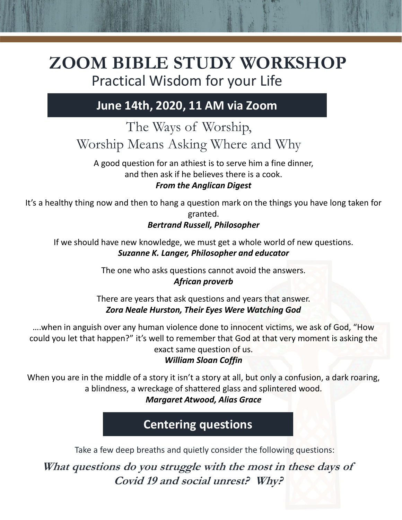# **ZOOM BIBLE STUDY WORKSHOP** Practical Wisdom for your Life

## **June 14th, 2020, 11 AM via Zoom**

## The Ways of Worship, Worship Means Asking Where and Why

A good question for an athiest is to serve him a fine dinner, and then ask if he believes there is a cook.

#### *From the Anglican Digest*

It's a healthy thing now and then to hang a question mark on the things you have long taken for granted.

#### *Bertrand Russell, Philosopher*

If we should have new knowledge, we must get a whole world of new questions. *Suzanne K. Langer, Philosopher and educator*

The one who asks questions cannot avoid the answers.

#### *African proverb*

There are years that ask questions and years that answer. *Zora Neale Hurston, Their Eyes Were Watching God*

….when in anguish over any human violence done to innocent victims, we ask of God, "How could you let that happen?" it's well to remember that God at that very moment is asking the exact same question of us.

#### *William Sloan Coffin*

When you are in the middle of a story it isn't a story at all, but only a confusion, a dark roaring, a blindness, a wreckage of shattered glass and splintered wood.

*Margaret Atwood, Alias Grace*

**Centering questions**

Take a few deep breaths and quietly consider the following questions:

**What questions do you struggle with the most in these days of Covid 19 and social unrest? Why?**